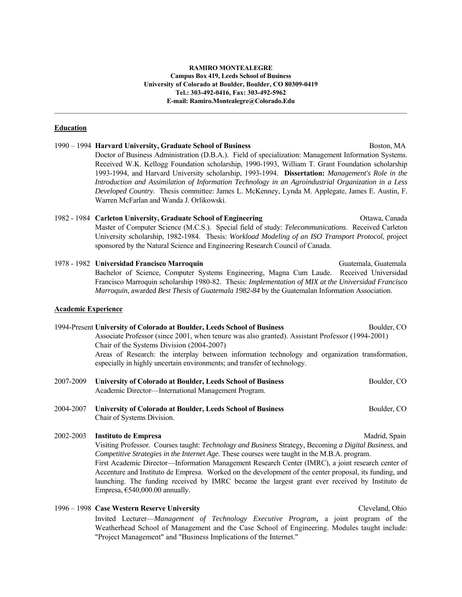#### **RAMIRO MONTEALEGRE Campus Box 419, Leeds School of Business University of Colorado at Boulder, Boulder, CO 80309-0419 Tel.: 303-492-0416, Fax: 303-492-5962 E-mail: Ramiro.Montealegre@Colorado.Edu**

 $\mathcal{L}_\mathcal{L} = \mathcal{L}_\mathcal{L} = \mathcal{L}_\mathcal{L} = \mathcal{L}_\mathcal{L} = \mathcal{L}_\mathcal{L} = \mathcal{L}_\mathcal{L} = \mathcal{L}_\mathcal{L} = \mathcal{L}_\mathcal{L} = \mathcal{L}_\mathcal{L} = \mathcal{L}_\mathcal{L} = \mathcal{L}_\mathcal{L} = \mathcal{L}_\mathcal{L} = \mathcal{L}_\mathcal{L} = \mathcal{L}_\mathcal{L} = \mathcal{L}_\mathcal{L} = \mathcal{L}_\mathcal{L} = \mathcal{L}_\mathcal{L}$ 

#### **Education**

1990 – 1994 **Harvard University, Graduate School of Business** Boston, MA Doctor of Business Administration (D.B.A.). Field of specialization: Management Information Systems. Received W.K. Kellogg Foundation scholarship, 1990-1993, William T. Grant Foundation scholarship 1993-1994, and Harvard University scholarship, 1993-1994. **Dissertation:** *Management's Role in the Introduction and Assimilation of Information Technology in an Agroindustrial Organization in a Less Developed Country*. Thesis committee: James L. McKenney, Lynda M. Applegate, James E. Austin, F. Warren McFarlan and Wanda J. Orlikowski.

# 1982 - 1984 **Carleton University, Graduate School of Engineering** Ottawa, Canada Master of Computer Science (M.C.S.). Special field of study: *Telecommunications*. Received Carleton University scholarship, 1982-1984. Thesis: *Workload Modeling of an ISO Transport Protocol*, project sponsored by the Natural Science and Engineering Research Council of Canada.

1978 - 1982 **Universidad Francisco Marroquin** Guatemala, Guatemala Bachelor of Science, Computer Systems Engineering, Magna Cum Laude. Received Universidad Francisco Marroquin scholarship 1980-82. Thesis: *Implementation of MIX at the Universidad Francisco Marroquin*, awarded *Best Thesis of Guatemala 1982-84* by the Guatemalan Information Association.

#### **Academic Experience**

# 1994-Present **University of Colorado at Boulder, Leeds School of Business** Boulder, CO Associate Professor (since 2001, when tenure was also granted). Assistant Professor (1994-2001) Chair of the Systems Division (2004-2007) Areas of Research: the interplay between information technology and organization transformation, especially in highly uncertain environments; and transfer of technology. 2007-2009 **University of Colorado at Boulder, Leeds School of Business** Boulder, CO

|           | 2007-2009 — UNIVERSITY OF COLORADO AL DOUBLER, L'ÉGAS SCHOOL OF DUSTRESS<br>Academic Director—International Management Program. | $D$ . Dounder, $U$ |
|-----------|---------------------------------------------------------------------------------------------------------------------------------|--------------------|
| 2004-2007 | University of Colorado at Boulder, Leeds School of Business<br>Chair of Systems Division.                                       | Boulder, CO        |

2002-2003 **Instituto de Empresa** Madrid, Spain

 Visiting Professor*.* Courses taught: *Technology and Business* Strategy, Becoming *a Digital Business*, and *Competitive Strategies in the Internet Age.* These courses were taught in the M.B.A. program. First Academic Director—Information Management Research Center (IMRC), a joint research center of Accenture and Instituto de Empresa. Worked on the development of the center proposal, its funding, and launching. The funding received by IMRC became the largest grant ever received by Instituto de Empresa,  $€540,000.00$  annually.

1996 – 1998 **Case Western Reserve University** Cleveland, Ohio Invited Lecturer—*Management of Technology Executive Program,* a joint program of the Weatherhead School of Management and the Case School of Engineering. Modules taught include: "Project Management" and "Business Implications of the Internet."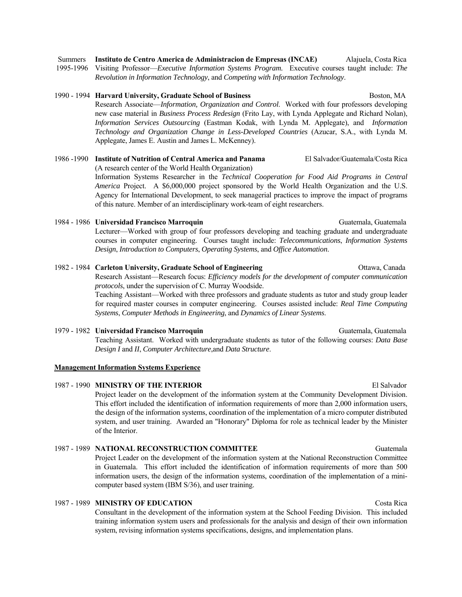1995-1996 Visiting Professor—*Executive Information Systems Program.* Executive courses taught include: *The* 

*Revolution in Information Technology*, and *Competing with Information Technology*.

# 1990 - 1994 **Harvard University, Graduate School of Business** Boston, MA Research Associate—*Information, Organization and Control*. Worked with four professors developing

new case material in *Business Process Redesign* (Frito Lay, with Lynda Applegate and Richard Nolan), *Information Services Outsourcing* (Eastman Kodak, with Lynda M. Applegate), and *Information Technology and Organization Change in Less-Developed Countries* (Azucar, S.A., with Lynda M. Applegate, James E. Austin and James L. McKenney).

### 1986 -1990 **Institute of Nutrition of Central America and Panama** El Salvador/Guatemala/Costa Rica (A research center of the World Health Organization) Information Systems Researcher in the *Technical Cooperation for Food Aid Programs in Central America* Project. A \$6,000,000 project sponsored by the World Health Organization and the U.S. Agency for International Development, to seek managerial practices to improve the impact of programs of this nature. Member of an interdisciplinary work-team of eight researchers.

1984 - 1986 **Universidad Francisco Marroquin** Guatemala, Guatemala Lecturer—Worked with group of four professors developing and teaching graduate and undergraduate courses in computer engineering. Courses taught include: *Telecommunications*, *Information Systems Design*, *Introduction to Computers*, *Operating Systems*, and *Office Automation*.

# 1982 - 1984 Carleton University, Graduate School of Engineering **Canada** Ottawa, Canada

 Research Assistant—Research focus: *Efficiency models for the development of computer communication protocols*, under the supervision of C. Murray Woodside.

 Teaching Assistant—Worked with three professors and graduate students as tutor and study group leader for required master courses in computer engineering. Courses assisted include: *Real Time Computing Systems*, *Computer Methods in Engineering*, and *Dynamics of Linear Systems*.

# 1979 - 1982 **Universidad Francisco Marroquin** Guatemala, Guatemala Teaching Assistant. Worked with undergraduate students as tutor of the following courses: *Data Base Design I* and *II*, *Computer Architecture*,and *Data Structure*.

### **Management Information Systems Experience**

# 1987 - 1990 **MINISTRY OF THE INTERIOR** El Salvador

 Project leader on the development of the information system at the Community Development Division. This effort included the identification of information requirements of more than 2,000 information users, the design of the information systems, coordination of the implementation of a micro computer distributed system, and user training. Awarded an "Honorary" Diploma for role as technical leader by the Minister of the Interior.

# 1987 - 1989 **NATIONAL RECONSTRUCTION COMMITTEE** Guatemala

 Project Leader on the development of the information system at the National Reconstruction Committee in Guatemala. This effort included the identification of information requirements of more than 500 information users, the design of the information systems, coordination of the implementation of a minicomputer based system (IBM S/36), and user training.

### 1987 - 1989 **MINISTRY OF EDUCATION** Costa Rica

 Consultant in the development of the information system at the School Feeding Division. This included training information system users and professionals for the analysis and design of their own information system, revising information systems specifications, designs, and implementation plans.

Summers **Instituto de Centro America de Administracion de Empresas (INCAE)** Alajuela, Costa Rica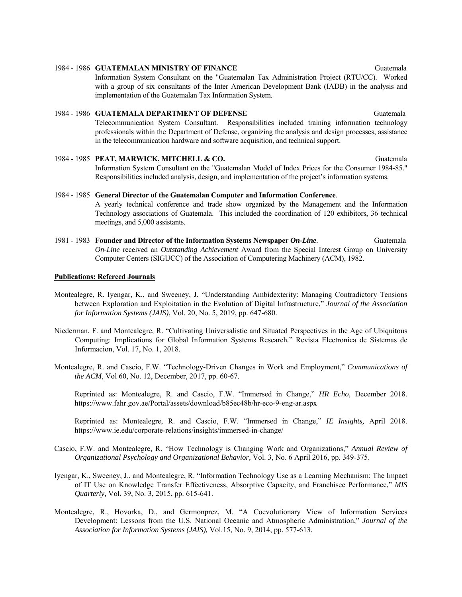# 1984 - 1986 **GUATEMALAN MINISTRY OF FINANCE** Guatemala

 Information System Consultant on the "Guatemalan Tax Administration Project (RTU/CC). Worked with a group of six consultants of the Inter American Development Bank (IADB) in the analysis and implementation of the Guatemalan Tax Information System.

# 1984 - 1986 **GUATEMALA DEPARTMENT OF DEFENSE** Guatemala Telecommunication System Consultant. Responsibilities included training information technology professionals within the Department of Defense, organizing the analysis and design processes, assistance in the telecommunication hardware and software acquisition, and technical support.

- 1984 1985 **PEAT, MARWICK, MITCHELL & CO.** Guatemala Information System Consultant on the "Guatemalan Model of Index Prices for the Consumer 1984-85." Responsibilities included analysis, design, and implementation of the project's information systems.
- 1984 1985 **General Director of the Guatemalan Computer and Information Conference**. A yearly technical conference and trade show organized by the Management and the Information Technology associations of Guatemala. This included the coordination of 120 exhibitors, 36 technical meetings, and 5,000 assistants.
- 1981 1983 **Founder and Director of the Information Systems Newspaper** *On-Line*. Guatemala  *On-Line* received an *Outstanding Achievement* Award from the Special Interest Group on University Computer Centers (SIGUCC) of the Association of Computering Machinery (ACM), 1982.

## **Publications: Refereed Journals**

- Montealegre, R. Iyengar, K., and Sweeney, J. "Understanding Ambidexterity: Managing Contradictory Tensions between Exploration and Exploitation in the Evolution of Digital Infrastructure," *Journal of the Association for Information Systems (JAIS)*, Vol. 20, No. 5, 2019, pp. 647-680.
- Niederman, F. and Montealegre, R. "Cultivating Universalistic and Situated Perspectives in the Age of Ubiquitous Computing: Implications for Global Information Systems Research*.*" Revista Electronica de Sistemas de Informacion, Vol. 17, No. 1, 2018.
- Montealegre, R. and Cascio, F.W. "Technology-Driven Changes in Work and Employment," *Communications of the ACM,* Vol 60, No. 12, December, 2017, pp. 60-67.

 Reprinted as: Montealegre, R. and Cascio, F.W. "Immersed in Change," *HR Echo,* December 2018. https://www.fahr.gov.ae/Portal/assets/download/b85ec48b/hr-eco-9-eng-ar.aspx

 Reprinted as: Montealegre, R. and Cascio, F.W. "Immersed in Change," *IE Insights,* April 2018. https://www.ie.edu/corporate-relations/insights/immersed-in-change/

- Cascio, F.W. and Montealegre, R. "How Technology is Changing Work and Organizations," *Annual Review of Organizational Psychology and Organizational Behavior,* Vol. 3, No. 6 April 2016, pp. 349-375.
- Iyengar, K., Sweeney, J., and Montealegre, R. "Information Technology Use as a Learning Mechanism: The Impact of IT Use on Knowledge Transfer Effectiveness, Absorptive Capacity, and Franchisee Performance," *MIS Quarterly,* Vol. 39, No. 3, 2015, pp. 615-641.
- Montealegre, R., Hovorka, D., and Germonprez, M. "A Coevolutionary View of Information Services Development: Lessons from the U.S. National Oceanic and Atmospheric Administration," *Journal of the Association for Information Systems (JAIS),* Vol.15, No. 9, 2014, pp. 577-613.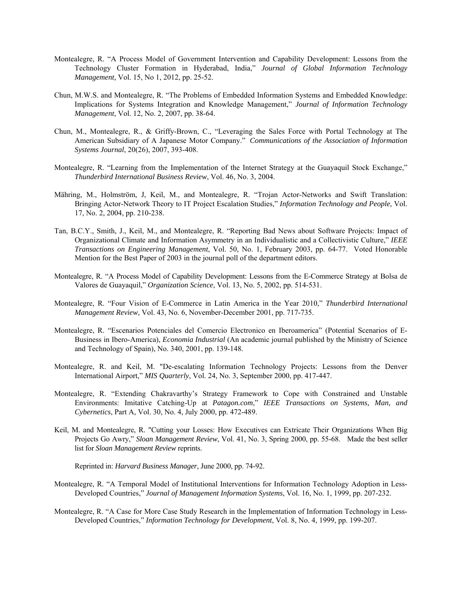- Montealegre, R. "A Process Model of Government Intervention and Capability Development: Lessons from the Technology Cluster Formation in Hyderabad, India," *Journal of Global Information Technology Management,* Vol. 15, No 1, 2012, pp. 25-52.
- Chun, M.W.S. and Montealegre, R. "The Problems of Embedded Information Systems and Embedded Knowledge: Implications for Systems Integration and Knowledge Management," *Journal of Information Technology Management*, Vol. 12, No. 2, 2007, pp. 38-64.
- Chun, M., Montealegre, R., & Griffy-Brown, C., "Leveraging the Sales Force with Portal Technology at The American Subsidiary of A Japanese Motor Company." *Communications of the Association of Information Systems Journal*, 20(26), 2007, 393-408.
- Montealegre, R. "Learning from the Implementation of the Internet Strategy at the Guayaquil Stock Exchange," *Thunderbird International Business Review*, Vol. 46, No. 3, 2004.
- Mähring, M., Holmström, J, Keil, M., and Montealegre, R. "Trojan Actor-Networks and Swift Translation: Bringing Actor-Network Theory to IT Project Escalation Studies," *Information Technology and People*, Vol. 17, No. 2, 2004, pp. 210-238.
- Tan, B.C.Y., Smith, J., Keil, M., and Montealegre, R. "Reporting Bad News about Software Projects: Impact of Organizational Climate and Information Asymmetry in an Individualistic and a Collectivistic Culture," *IEEE Transactions on Engineering Management*, Vol. 50, No. 1, February 2003, pp. 64-77. Voted Honorable Mention for the Best Paper of 2003 in the journal poll of the department editors.
- Montealegre, R. "A Process Model of Capability Development: Lessons from the E-Commerce Strategy at Bolsa de Valores de Guayaquil," *Organization Science*, Vol. 13, No. 5, 2002, pp. 514-531.
- Montealegre, R. "Four Vision of E-Commerce in Latin America in the Year 2010," *Thunderbird International Management Review,* Vol. 43, No. 6, November-December 2001, pp. 717-735.
- Montealegre, R. "Escenarios Potenciales del Comercio Electronico en Iberoamerica" (Potential Scenarios of E-Business in Ibero-America), *Economia Industrial* (An academic journal published by the Ministry of Science and Technology of Spain), No. 340, 2001, pp. 139-148.
- Montealegre, R. and Keil, M. "De-escalating Information Technology Projects: Lessons from the Denver International Airport," *MIS Quarterly*, Vol. 24, No. 3, September 2000, pp. 417-447.
- Montealegre, R. "Extending Chakravarthy's Strategy Framework to Cope with Constrained and Unstable Environments: Imitative Catching-Up at *Patagon.com*," *IEEE Transactions on Systems, Man, and Cybernetics*, Part A, Vol. 30, No. 4, July 2000, pp. 472-489.
- Keil, M. and Montealegre, R. "Cutting your Losses: How Executives can Extricate Their Organizations When Big Projects Go Awry," *Sloan Management Review*, Vol. 41, No. 3, Spring 2000, pp. 55-68. Made the best seller list for *Sloan Management Review* reprints.

Reprinted in: *Harvard Business Manager*, June 2000, pp. 74-92.

- Montealegre, R. "A Temporal Model of Institutional Interventions for Information Technology Adoption in Less-Developed Countries," *Journal of Management Information Systems*, Vol. 16, No. 1, 1999, pp. 207-232.
- Montealegre, R. "A Case for More Case Study Research in the Implementation of Information Technology in Less-Developed Countries," *Information Technology for Development*, Vol. 8, No. 4, 1999, pp. 199-207.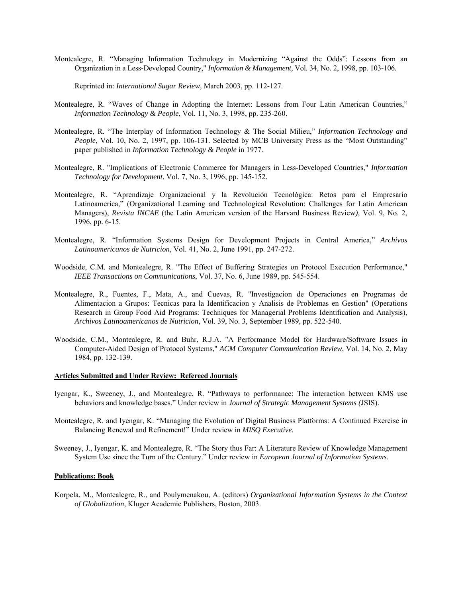Montealegre, R. "Managing Information Technology in Modernizing "Against the Odds": Lessons from an Organization in a Less-Developed Country," *Information & Management,* Vol. 34, No. 2, 1998, pp. 103-106.

Reprinted in: *International Sugar Review,* March 2003, pp. 112-127.

- Montealegre, R. "Waves of Change in Adopting the Internet: Lessons from Four Latin American Countries," *Information Technology & People*, Vol. 11, No. 3, 1998, pp. 235-260.
- Montealegre, R. "The Interplay of Information Technology & The Social Milieu," *Information Technology and People*, Vol. 10, No. 2, 1997, pp. 106-131. Selected by MCB University Press as the "Most Outstanding" paper published in *Information Technology & People* in 1977.
- Montealegre, R. "Implications of Electronic Commerce for Managers in Less-Developed Countries," *Information Technology for Development*, Vol. 7, No. 3, 1996, pp. 145-152.
- Montealegre, R. "Aprendizaje Organizacional y la Revolución Tecnológica: Retos para el Empresario Latinoamerica," (Organizational Learning and Technological Revolution: Challenges for Latin American Managers), *Revista INCAE* (the Latin American version of the Harvard Business Review*)*, Vol. 9, No. 2, 1996, pp. 6-15.
- Montealegre, R. "Information Systems Design for Development Projects in Central America," *Archivos Latinoamericanos de Nutricion*, Vol. 41, No. 2, June 1991, pp. 247-272.
- Woodside, C.M. and Montealegre, R. "The Effect of Buffering Strategies on Protocol Execution Performance," *IEEE Transactions on Communications*, Vol. 37, No. 6, June 1989, pp. 545-554.
- Montealegre, R., Fuentes, F., Mata, A., and Cuevas, R. "Investigacion de Operaciones en Programas de Alimentacion a Grupos: Tecnicas para la Identificacion y Analisis de Problemas en Gestion" (Operations Research in Group Food Aid Programs: Techniques for Managerial Problems Identification and Analysis), *Archivos Latinoamericanos de Nutricion*, Vol. 39, No. 3, September 1989, pp. 522-540.
- Woodside, C.M., Montealegre, R. and Buhr, R.J.A. "A Performance Model for Hardware/Software Issues in Computer-Aided Design of Protocol Systems," *ACM Computer Communication Review*, Vol. 14, No. 2, May 1984, pp. 132-139.

#### **Articles Submitted and Under Review: Refereed Journals**

- Iyengar, K., Sweeney, J., and Montealegre, R. "Pathways to performance: The interaction between KMS use behaviors and knowledge bases." Under review in *Journal of Strategic Management Systems (*JSIS).
- Montealegre, R. and Iyengar, K. "Managing the Evolution of Digital Business Platforms: A Continued Exercise in Balancing Renewal and Refinement!" Under review in *MISQ Executive*.
- Sweeney, J., Iyengar, K. and Montealegre, R. "The Story thus Far: A Literature Review of Knowledge Management System Use since the Turn of the Century." Under review in *European Journal of Information Systems*.

#### **Publications: Book**

Korpela, M., Montealegre, R., and Poulymenakou, A. (editors) *Organizational Information Systems in the Context of Globalization*, Kluger Academic Publishers, Boston, 2003.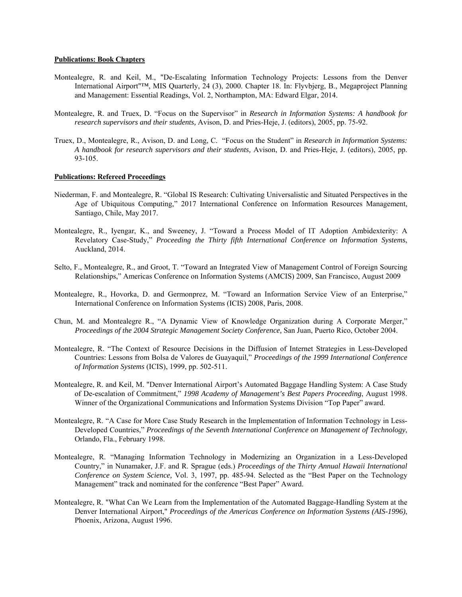#### **Publications: Book Chapters**

- Montealegre, R. and Keil, M., "De-Escalating Information Technology Projects: Lessons from the Denver International Airport"™, MIS Quarterly, 24 (3), 2000. Chapter 18. In: Flyvbjerg, B., Megaproject Planning and Management: Essential Readings, Vol. 2, Northampton, MA: Edward Elgar, 2014.
- Montealegre, R. and Truex, D. "Focus on the Supervisor" in *Research in Information Systems: A handbook for research supervisors and their students,* Avison, D. and Pries-Heje, J. (editors), 2005, pp. 75-92.
- Truex, D., Montealegre, R., Avison, D. and Long, C. "Focus on the Student" in *Research in Information Systems: A handbook for research supervisors and their students,* Avison, D. and Pries-Heje, J. (editors), 2005, pp. 93-105.

#### **Publications: Refereed Proceedings**

- Niederman, F. and Montealegre, R. "Global IS Research: Cultivating Universalistic and Situated Perspectives in the Age of Ubiquitous Computing," 2017 International Conference on Information Resources Management, Santiago, Chile, May 2017.
- Montealegre, R., Iyengar, K., and Sweeney, J. "Toward a Process Model of IT Adoption Ambidexterity: A Revelatory Case-Study," *Proceeding the Thirty fifth International Conference on Information Systems*, Auckland, 2014.
- Selto, F., Montealegre, R., and Groot, T. "Toward an Integrated View of Management Control of Foreign Sourcing Relationships," Americas Conference on Information Systems (AMCIS) 2009, San Francisco, August 2009
- Montealegre, R., Hovorka, D. and Germonprez, M. "Toward an Information Service View of an Enterprise," International Conference on Information Systems (ICIS) 2008, Paris, 2008.
- Chun, M. and Montealegre R., "A Dynamic View of Knowledge Organization during A Corporate Merger," *Proceedings of the 2004 Strategic Management Society Conference,* San Juan, Puerto Rico, October 2004.
- Montealegre, R. "The Context of Resource Decisions in the Diffusion of Internet Strategies in Less-Developed Countries: Lessons from Bolsa de Valores de Guayaquil," *Proceedings of the 1999 International Conference of Information Systems* (ICIS), 1999, pp. 502-511.
- Montealegre, R. and Keil, M. "Denver International Airport's Automated Baggage Handling System: A Case Study of De-escalation of Commitment," *1998 Academy of Management's Best Papers Proceeding*, August 1998. Winner of the Organizational Communications and Information Systems Division "Top Paper" award.
- Montealegre, R. "A Case for More Case Study Research in the Implementation of Information Technology in Less-Developed Countries," *Proceedings of the Seventh International Conference on Management of Technology*, Orlando, Fla., February 1998.
- Montealegre, R. "Managing Information Technology in Modernizing an Organization in a Less-Developed Country," in Nunamaker, J.F. and R. Sprague (eds.) *Proceedings of the Thirty Annual Hawaii International Conference on System Science,* Vol. 3, 1997, pp. 485-94. Selected as the "Best Paper on the Technology Management" track and nominated for the conference "Best Paper" Award.
- Montealegre, R. "What Can We Learn from the Implementation of the Automated Baggage-Handling System at the Denver International Airport," *Proceedings of the Americas Conference on Information Systems (AIS-1996)*, Phoenix, Arizona, August 1996.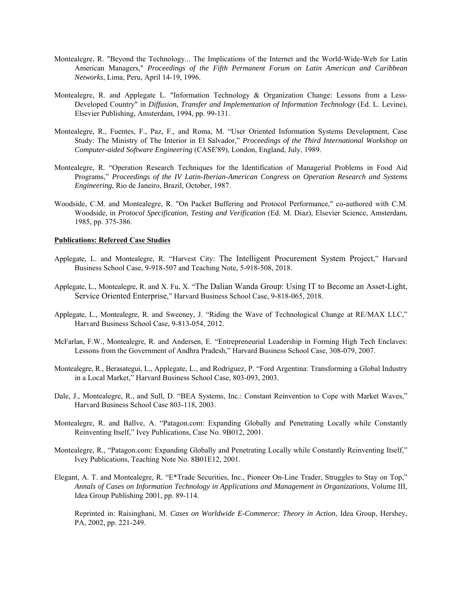- Montealegre, R. "Beyond the Technology... The Implications of the Internet and the World-Wide-Web for Latin American Managers," *Proceedings of the Fifth Permanent Forum on Latin American and Caribbean Networks*, Lima, Peru, April 14-19, 1996.
- Montealegre, R. and Applegate L. "Information Technology & Organization Change: Lessons from a Less-Developed Country" in *Diffusion, Transfer and Implementation of Information Technology* (Ed. L. Levine), Elsevier Publishing, Amsterdam, 1994, pp. 99-131.
- Montealegre, R., Fuentes, F., Paz, F., and Roma, M. "User Oriented Information Systems Development, Case Study: The Ministry of The Interior in El Salvador," *Proceedings of the Third International Workshop on Computer-aided Software Engineering* (CASE'89), London, England, July, 1989.
- Montealegre, R. "Operation Research Techniques for the Identification of Managerial Problems in Food Aid Programs," *Proceedings of the IV Latin-Iberian-American Congress on Operation Research and Systems Engineering*, Rio de Janeiro, Brazil, October, 1987.
- Woodside, C.M. and Montealegre, R. "On Packet Buffering and Protocol Performance," co-authored with C.M. Woodside, in *Protocol Specification, Testing and Verification* (Ed. M. Diaz), Elsevier Science, Amsterdam, 1985, pp. 375-386.

#### **Publications: Refereed Case Studies**

- Applegate, L. and Montealegre, R. "Harvest City: The Intelligent Procurement System Project," Harvard Business School Case, 9-918-507 and Teaching Note, 5-918-508, 2018.
- Applegate, L., Montealegre, R. and X. Fu, X. "The Dalian Wanda Group: Using IT to Become an Asset-Light, Service Oriented Enterprise," Harvard Business School Case, 9-818-065, 2018.
- Applegate, L., Montealegre, R. and Sweeney, J. "Riding the Wave of Technological Change at RE/MAX LLC," Harvard Business School Case, 9-813-054, 2012.
- McFarlan, F.W., Montealegre, R. and Andersen, E. "Entrepreneurial Leadership in Forming High Tech Enclaves: Lessons from the Government of Andhra Pradesh," Harvard Business School Case, 308-079, 2007.
- Montealegre, R., Berasategui, L., Applegate, L., and Rodriguez, P. "Ford Argentina: Transforming a Global Industry in a Local Market," Harvard Business School Case, 803-093, 2003.
- Dale, J., Montealegre, R., and Sull, D. "BEA Systems, Inc.: Constant Reinvention to Cope with Market Waves," Harvard Business School Case 803-118, 2003.
- Montealegre, R. and Ballve, A. "Patagon.com: Expanding Globally and Penetrating Locally while Constantly Reinventing Itself," Ivey Publications, Case No. 9B012, 2001.
- Montealegre, R., "Patagon.com: Expanding Globally and Penetrating Locally while Constantly Reinventing Itself," Ivey Publications, Teaching Note No. 8B01E12, 2001.
- Elegant, A. T. and Montealegre, R. "E\*Trade Securities, Inc., Pioneer On-Line Trader, Struggles to Stay on Top," *Annals of Cases on Information Technology in Applications and Management in Organizations*, Volume III, Idea Group Publishing 2001, pp. 89-114.

 Reprinted in: Raisinghani, M. *Cases on Worldwide E-Commerce: Theory in Action*, Idea Group, Hershey, PA, 2002, pp. 221-249.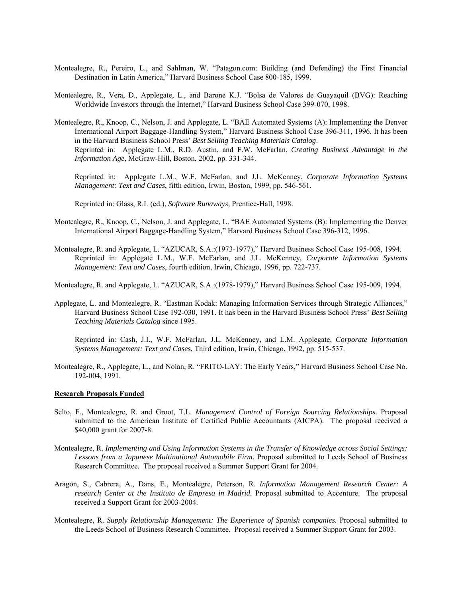- Montealegre, R., Pereiro, L., and Sahlman, W. "Patagon.com: Building (and Defending) the First Financial Destination in Latin America," Harvard Business School Case 800-185, 1999.
- Montealegre, R., Vera, D., Applegate, L., and Barone K.J. "Bolsa de Valores de Guayaquil (BVG): Reaching Worldwide Investors through the Internet," Harvard Business School Case 399-070, 1998.
- Montealegre, R., Knoop, C., Nelson, J. and Applegate, L. "BAE Automated Systems (A): Implementing the Denver International Airport Baggage-Handling System," Harvard Business School Case 396-311, 1996. It has been in the Harvard Business School Press' *Best Selling Teaching Materials Catalog*. Reprinted in: Applegate L.M., R.D. Austin, and F.W. McFarlan, *Creating Business Advantage in the Information Age*, McGraw-Hill, Boston, 2002, pp. 331-344.

 Reprinted in: Applegate L.M., W.F. McFarlan, and J.L. McKenney, *Corporate Information Systems Management: Text and Cases*, fifth edition, Irwin, Boston, 1999, pp. 546-561.

Reprinted in: Glass, R.L (ed.), *Software Runaways,* Prentice-Hall, 1998.

- Montealegre, R., Knoop, C., Nelson, J. and Applegate, L. "BAE Automated Systems (B): Implementing the Denver International Airport Baggage-Handling System," Harvard Business School Case 396-312, 1996.
- Montealegre, R. and Applegate, L. "AZUCAR, S.A.:(1973-1977)," Harvard Business School Case 195-008, 1994. Reprinted in: Applegate L.M., W.F. McFarlan, and J.L. McKenney, *Corporate Information Systems Management: Text and Cases*, fourth edition, Irwin, Chicago, 1996, pp. 722-737.

Montealegre, R. and Applegate, L. "AZUCAR, S.A.:(1978-1979)," Harvard Business School Case 195-009, 1994.

Applegate, L. and Montealegre, R. "Eastman Kodak: Managing Information Services through Strategic Alliances," Harvard Business School Case 192-030, 1991. It has been in the Harvard Business School Press' *Best Selling Teaching Materials Catalog* since 1995.

 Reprinted in: Cash, J.I., W.F. McFarlan, J.L. McKenney, and L.M. Applegate, *Corporate Information Systems Management: Text and Cases*, Third edition, Irwin, Chicago, 1992, pp. 515-537.

Montealegre, R., Applegate, L., and Nolan, R. "FRITO-LAY: The Early Years," Harvard Business School Case No. 192-004, 1991.

#### **Research Proposals Funded**

- Selto, F., Montealegre, R. and Groot, T.L. *Management Control of Foreign Sourcing Relationships.* Proposal submitted to the American Institute of Certified Public Accountants (AICPA). The proposal received a \$40,000 grant for 2007-8.
- Montealegre, R. *Implementing and Using Information Systems in the Transfer of Knowledge across Social Settings: Lessons from a Japanese Multinational Automobile Firm.* Proposal submitted to Leeds School of Business Research Committee. The proposal received a Summer Support Grant for 2004.
- Aragon, S., Cabrera, A., Dans, E., Montealegre, Peterson, R. *Information Management Research Center: A research Center at the Instituto de Empresa in Madrid.* Proposal submitted to Accenture. The proposal received a Support Grant for 2003-2004.
- Montealegre, R. *Supply Relationship Management: The Experience of Spanish companies.* Proposal submitted to the Leeds School of Business Research Committee. Proposal received a Summer Support Grant for 2003.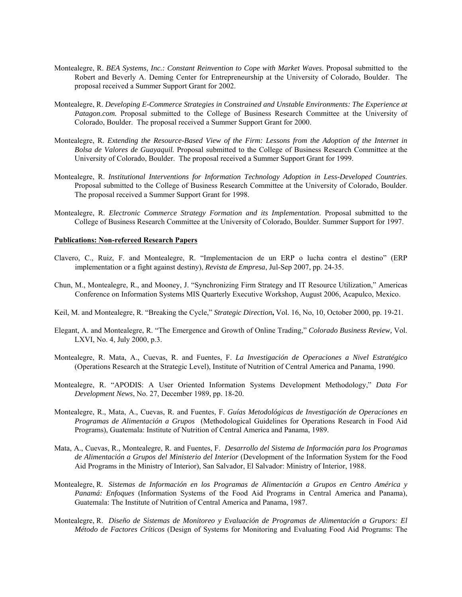- Montealegre, R. *BEA Systems, Inc.: Constant Reinvention to Cope with Market Waves*. Proposal submitted to the Robert and Beverly A. Deming Center for Entrepreneurship at the University of Colorado, Boulder. The proposal received a Summer Support Grant for 2002.
- Montealegre, R. *Developing E-Commerce Strategies in Constrained and Unstable Environments: The Experience at Patagon.com.* Proposal submitted to the College of Business Research Committee at the University of Colorado, Boulder. The proposal received a Summer Support Grant for 2000.
- Montealegre, R. *Extending the Resource-Based View of the Firm: Lessons from the Adoption of the Internet in Bolsa de Valores de Guayaquil.* Proposal submitted to the College of Business Research Committee at the University of Colorado, Boulder. The proposal received a Summer Support Grant for 1999.
- Montealegre, R. *Institutional Interventions for Information Technology Adoption in Less-Developed Countries*. Proposal submitted to the College of Business Research Committee at the University of Colorado, Boulder. The proposal received a Summer Support Grant for 1998.
- Montealegre, R. *Electronic Commerce Strategy Formation and its Implementation*. Proposal submitted to the College of Business Research Committee at the University of Colorado, Boulder. Summer Support for 1997.

#### **Publications: Non-refereed Research Papers**

- Clavero, C., Ruiz, F. and Montealegre, R. "Implementacion de un ERP o lucha contra el destino" (ERP implementation or a fight against destiny), *Revista de Empresa*, Jul-Sep 2007, pp. 24-35.
- Chun, M., Montealegre, R., and Mooney, J. "Synchronizing Firm Strategy and IT Resource Utilization," Americas Conference on Information Systems MIS Quarterly Executive Workshop, August 2006, Acapulco, Mexico.
- Keil, M. and Montealegre, R. "Breaking the Cycle," *Strategic Direction***,** Vol. 16, No, 10, October 2000, pp. 19-21.
- Elegant, A. and Montealegre, R. "The Emergence and Growth of Online Trading," *Colorado Business Review,* Vol. LXVI, No. 4, July 2000, p.3.
- Montealegre, R. Mata, A., Cuevas, R. and Fuentes, F. *La Investigación de Operaciones a Nivel Estratégico* (Operations Research at the Strategic Level), Institute of Nutrition of Central America and Panama, 1990.
- Montealegre, R. "APODIS: A User Oriented Information Systems Development Methodology," *Data For Development News*, No. 27, December 1989, pp. 18-20.
- Montealegre, R., Mata, A., Cuevas, R. and Fuentes, F. *Guías Metodológicas de Investigación de Operaciones en Programas de Alimentación a Grupos* (Methodological Guidelines for Operations Research in Food Aid Programs), Guatemala: Institute of Nutrition of Central America and Panama, 1989.
- Mata, A., Cuevas, R., Montealegre, R. and Fuentes, F. *Desarrollo del Sistema de Información para los Programas de Alimentación a Grupos del Ministerio del Interior* (Development of the Information System for the Food Aid Programs in the Ministry of Interior), San Salvador, El Salvador: Ministry of Interior, 1988.
- Montealegre, R. *Sistemas de Información en los Programas de Alimentación a Grupos en Centro América y Panamá: Enfoques* (Information Systems of the Food Aid Programs in Central America and Panama), Guatemala: The Institute of Nutrition of Central America and Panama, 1987.
- Montealegre, R. *Diseño de Sistemas de Monitoreo y Evaluación de Programas de Alimentación a Grupors: El Método de Factores Críticos* (Design of Systems for Monitoring and Evaluating Food Aid Programs: The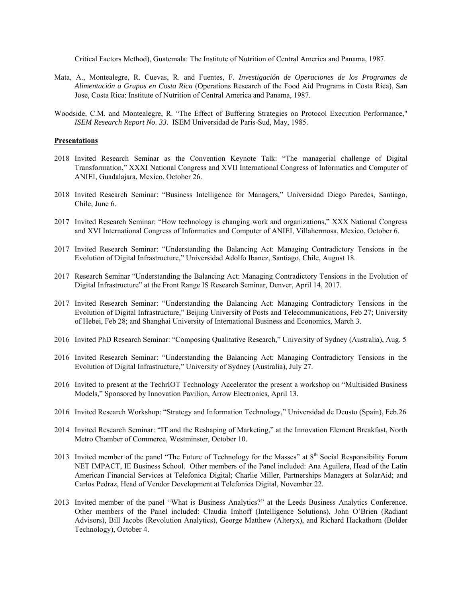Critical Factors Method), Guatemala: The Institute of Nutrition of Central America and Panama, 1987.

- Mata, A., Montealegre, R. Cuevas, R. and Fuentes, F. *Investigación de Operaciones de los Programas de Alimentación a Grupos en Costa Rica* (Operations Research of the Food Aid Programs in Costa Rica), San Jose, Costa Rica: Institute of Nutrition of Central America and Panama, 1987.
- Woodside, C.M. and Montealegre, R. "The Effect of Buffering Strategies on Protocol Execution Performance," *ISEM Research Report No. 33*. ISEM Universidad de Paris-Sud, May, 1985.

#### **Presentations**

- 2018 Invited Research Seminar as the Convention Keynote Talk: "The managerial challenge of Digital Transformation," XXXI National Congress and XVII International Congress of Informatics and Computer of ANIEI, Guadalajara, Mexico, October 26.
- 2018 Invited Research Seminar: "Business Intelligence for Managers," Universidad Diego Paredes, Santiago, Chile, June 6.
- 2017 Invited Research Seminar: "How technology is changing work and organizations," XXX National Congress and XVI International Congress of Informatics and Computer of ANIEI, Villahermosa, Mexico, October 6.
- 2017 Invited Research Seminar: "Understanding the Balancing Act: Managing Contradictory Tensions in the Evolution of Digital Infrastructure," Universidad Adolfo Ibanez, Santiago, Chile, August 18.
- 2017 Research Seminar "Understanding the Balancing Act: Managing Contradictory Tensions in the Evolution of Digital Infrastructure" at the Front Range IS Research Seminar, Denver, April 14, 2017.
- 2017 Invited Research Seminar: "Understanding the Balancing Act: Managing Contradictory Tensions in the Evolution of Digital Infrastructure," Beijing University of Posts and Telecommunications, Feb 27; University of Hebei, Feb 28; and Shanghai University of International Business and Economics, March 3.
- 2016 Invited PhD Research Seminar: "Composing Qualitative Research," University of Sydney (Australia), Aug. 5
- 2016 Invited Research Seminar: "Understanding the Balancing Act: Managing Contradictory Tensions in the Evolution of Digital Infrastructure," University of Sydney (Australia), July 27.
- 2016 Invited to present at the TechrIOT Technology Accelerator the present a workshop on "Multisided Business Models," Sponsored by Innovation Pavilion, Arrow Electronics, April 13.
- 2016 Invited Research Workshop: "Strategy and Information Technology," Universidad de Deusto (Spain), Feb.26
- 2014 Invited Research Seminar: "IT and the Reshaping of Marketing," at the Innovation Element Breakfast, North Metro Chamber of Commerce, Westminster, October 10.
- 2013 Invited member of the panel "The Future of Technology for the Masses" at 8<sup>th</sup> Social Responsibility Forum NET IMPACT, IE Business School. Other members of the Panel included: Ana Aguilera, Head of the Latin American Financial Services at Telefonica Digital; Charlie Miller, Partnerships Managers at SolarAid; and Carlos Pedraz, Head of Vendor Development at Telefonica Digital, November 22.
- 2013 Invited member of the panel "What is Business Analytics?" at the Leeds Business Analytics Conference. Other members of the Panel included: Claudia Imhoff (Intelligence Solutions), John O'Brien (Radiant Advisors), Bill Jacobs (Revolution Analytics), George Matthew (Alteryx), and Richard Hackathorn (Bolder Technology), October 4.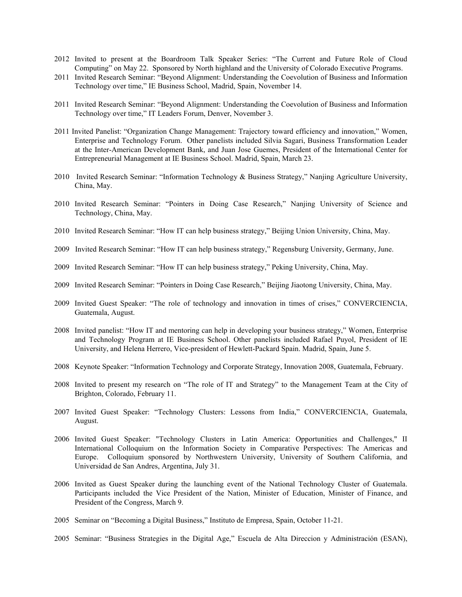- 2012 Invited to present at the Boardroom Talk Speaker Series: "The Current and Future Role of Cloud Computing" on May 22. Sponsored by North highland and the University of Colorado Executive Programs.
- 2011 Invited Research Seminar: "Beyond Alignment: Understanding the Coevolution of Business and Information Technology over time," IE Business School, Madrid, Spain, November 14.
- 2011 Invited Research Seminar: "Beyond Alignment: Understanding the Coevolution of Business and Information Technology over time," IT Leaders Forum, Denver, November 3.
- 2011 Invited Panelist: "Organization Change Management: Trajectory toward efficiency and innovation," Women, Enterprise and Technology Forum. Other panelists included Silvia Sagari, Business Transformation Leader at the Inter-American Development Bank, and Juan Jose Guemes, President of the International Center for Entrepreneurial Management at IE Business School. Madrid, Spain, March 23.
- 2010 Invited Research Seminar: "Information Technology & Business Strategy," Nanjing Agriculture University, China, May.
- 2010 Invited Research Seminar: "Pointers in Doing Case Research," Nanjing University of Science and Technology, China, May.
- 2010 Invited Research Seminar: "How IT can help business strategy," Beijing Union University, China, May.
- 2009 Invited Research Seminar: "How IT can help business strategy," Regensburg University, Germany, June.
- 2009 Invited Research Seminar: "How IT can help business strategy," Peking University, China, May.
- 2009 Invited Research Seminar: "Pointers in Doing Case Research," Beijing Jiaotong University, China, May.
- 2009 Invited Guest Speaker: "The role of technology and innovation in times of crises," CONVERCIENCIA, Guatemala, August.
- 2008 Invited panelist: "How IT and mentoring can help in developing your business strategy," Women, Enterprise and Technology Program at IE Business School. Other panelists included Rafael Puyol, President of IE University, and Helena Herrero, Vice-president of Hewlett-Packard Spain. Madrid, Spain, June 5.
- 2008 Keynote Speaker: "Information Technology and Corporate Strategy, Innovation 2008, Guatemala, February.
- 2008 Invited to present my research on "The role of IT and Strategy" to the Management Team at the City of Brighton, Colorado, February 11.
- 2007 Invited Guest Speaker: "Technology Clusters: Lessons from India," CONVERCIENCIA, Guatemala, August.
- 2006 Invited Guest Speaker: "Technology Clusters in Latin America: Opportunities and Challenges," II International Colloquium on the Information Society in Comparative Perspectives: The Americas and Europe. Colloquium sponsored by Northwestern University, University of Southern California, and Universidad de San Andres, Argentina, July 31.
- 2006 Invited as Guest Speaker during the launching event of the National Technology Cluster of Guatemala. Participants included the Vice President of the Nation, Minister of Education, Minister of Finance, and President of the Congress, March 9.
- 2005 Seminar on "Becoming a Digital Business," Instituto de Empresa, Spain, October 11-21.
- 2005 Seminar: "Business Strategies in the Digital Age," Escuela de Alta Direccion y Administración (ESAN),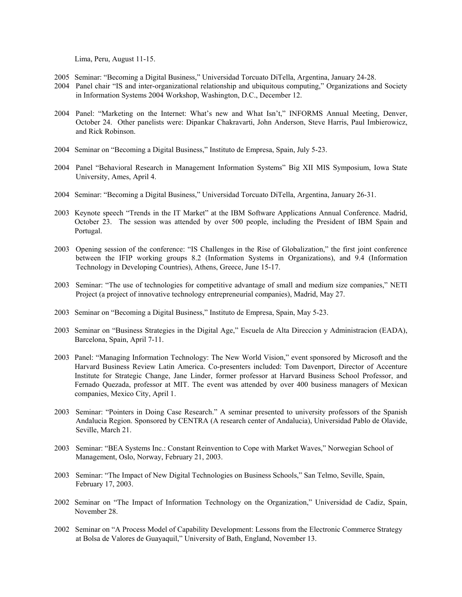Lima, Peru, August 11-15.

- 2005 Seminar: "Becoming a Digital Business," Universidad Torcuato DiTella, Argentina, January 24-28.
- 2004 Panel chair "IS and inter-organizational relationship and ubiquitous computing," Organizations and Society in Information Systems 2004 Workshop, Washington, D.C., December 12.
- 2004 Panel: "Marketing on the Internet: What's new and What Isn't," INFORMS Annual Meeting, Denver, October 24. Other panelists were: Dipankar Chakravarti, John Anderson, Steve Harris, Paul Imbierowicz, and Rick Robinson.
- 2004 Seminar on "Becoming a Digital Business," Instituto de Empresa, Spain, July 5-23.
- 2004 Panel "Behavioral Research in Management Information Systems" Big XII MIS Symposium, Iowa State University, Ames, April 4.
- 2004 Seminar: "Becoming a Digital Business," Universidad Torcuato DiTella, Argentina, January 26-31.
- 2003 Keynote speech "Trends in the IT Market" at the IBM Software Applications Annual Conference. Madrid, October 23. The session was attended by over 500 people, including the President of IBM Spain and Portugal.
- 2003 Opening session of the conference: "IS Challenges in the Rise of Globalization," the first joint conference between the IFIP working groups 8.2 (Information Systems in Organizations), and 9.4 (Information Technology in Developing Countries), Athens, Greece, June 15-17.
- 2003 Seminar: "The use of technologies for competitive advantage of small and medium size companies," NETI Project (a project of innovative technology entrepreneurial companies), Madrid, May 27.
- 2003 Seminar on "Becoming a Digital Business," Instituto de Empresa, Spain, May 5-23.
- 2003 Seminar on "Business Strategies in the Digital Age," Escuela de Alta Direccion y Administracion (EADA), Barcelona, Spain, April 7-11.
- 2003 Panel: "Managing Information Technology: The New World Vision," event sponsored by Microsoft and the Harvard Business Review Latin America. Co-presenters included: Tom Davenport, Director of Accenture Institute for Strategic Change, Jane Linder, former professor at Harvard Business School Professor, and Fernado Quezada, professor at MIT. The event was attended by over 400 business managers of Mexican companies, Mexico City, April 1.
- 2003 Seminar: "Pointers in Doing Case Research." A seminar presented to university professors of the Spanish Andalucia Region. Sponsored by CENTRA (A research center of Andalucia), Universidad Pablo de Olavide, Seville, March 21.
- 2003 Seminar: "BEA Systems Inc.: Constant Reinvention to Cope with Market Waves," Norwegian School of Management, Oslo, Norway, February 21, 2003.
- 2003 Seminar: "The Impact of New Digital Technologies on Business Schools," San Telmo, Seville, Spain, February 17, 2003.
- 2002 Seminar on "The Impact of Information Technology on the Organization," Universidad de Cadiz, Spain, November 28.
- 2002 Seminar on "A Process Model of Capability Development: Lessons from the Electronic Commerce Strategy at Bolsa de Valores de Guayaquil," University of Bath, England, November 13.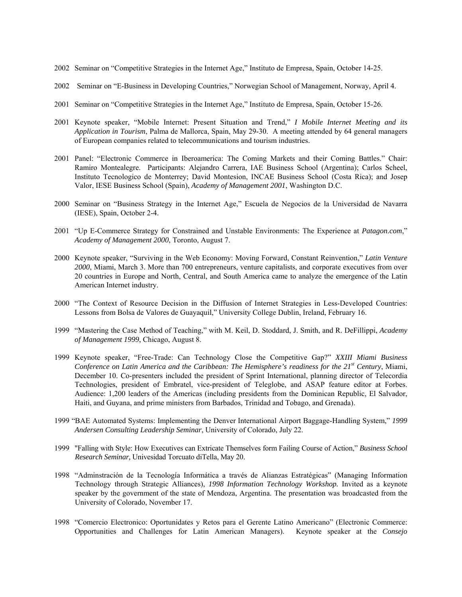- 2002 Seminar on "Competitive Strategies in the Internet Age," Instituto de Empresa, Spain, October 14-25.
- 2002 Seminar on "E-Business in Developing Countries," Norwegian School of Management, Norway, April 4.
- 2001 Seminar on "Competitive Strategies in the Internet Age," Instituto de Empresa, Spain, October 15-26.
- 2001 Keynote speaker, "Mobile Internet: Present Situation and Trend," *I Mobile Internet Meeting and its Application in Tourism*, Palma de Mallorca, Spain, May 29-30. A meeting attended by 64 general managers of European companies related to telecommunications and tourism industries.
- 2001 Panel: "Electronic Commerce in Iberoamerica: The Coming Markets and their Coming Battles." Chair: Ramiro Montealegre. Participants: Alejandro Carrera, IAE Business School (Argentina); Carlos Scheel, Instituto Tecnologico de Monterrey; David Montesion, INCAE Business School (Costa Rica); and Josep Valor, IESE Business School (Spain), *Academy of Management 2001*, Washington D.C.
- 2000 Seminar on "Business Strategy in the Internet Age," Escuela de Negocios de la Universidad de Navarra (IESE), Spain, October 2-4.
- 2001 "Up E-Commerce Strategy for Constrained and Unstable Environments: The Experience at *Patagon.com*," *Academy of Management 2000*, Toronto, August 7.
- 2000 Keynote speaker, "Surviving in the Web Economy: Moving Forward, Constant Reinvention," *Latin Venture 2000*, Miami, March 3. More than 700 entrepreneurs, venture capitalists, and corporate executives from over 20 countries in Europe and North, Central, and South America came to analyze the emergence of the Latin American Internet industry.
- 2000 "The Context of Resource Decision in the Diffusion of Internet Strategies in Less-Developed Countries: Lessons from Bolsa de Valores de Guayaquil," University College Dublin, Ireland, February 16.
- 1999 "Mastering the Case Method of Teaching," with M. Keil, D. Stoddard, J. Smith, and R. DeFillippi, *Academy of Management 1999*, Chicago, August 8.
- 1999 Keynote speaker, "Free-Trade: Can Technology Close the Competitive Gap?" *XXIII Miami Business Conference on Latin America and the Caribbean: The Hemisphere's readiness for the 21st Century*, Miami, December 10. Co-presenters included the president of Sprint International, planning director of Telecordia Technologies, president of Embratel, vice-president of Teleglobe, and ASAP feature editor at Forbes. Audience: 1,200 leaders of the Americas (including presidents from the Dominican Republic, El Salvador, Haiti, and Guyana, and prime ministers from Barbados, Trinidad and Tobago, and Grenada).
- 1999 "BAE Automated Systems: Implementing the Denver International Airport Baggage-Handling System," *1999 Andersen Consulting Leadership Seminar*, University of Colorado, July 22.
- 1999 "Falling with Style: How Executives can Extricate Themselves form Failing Course of Action," *Business School Research Seminar,* Univesidad Torcuato diTella, May 20.
- 1998 "Adminstración de la Tecnología Informática a través de Alianzas Estratégicas" (Managing Information Technology through Strategic Alliances), *1998 Information Technology Workshop.* Invited as a keynote speaker by the government of the state of Mendoza, Argentina. The presentation was broadcasted from the University of Colorado, November 17.
- 1998 "Comercio Electronico: Oportunidates y Retos para el Gerente Latino Americano" (Electronic Commerce: Opportunities and Challenges for Latin American Managers). Keynote speaker at the *Consejo*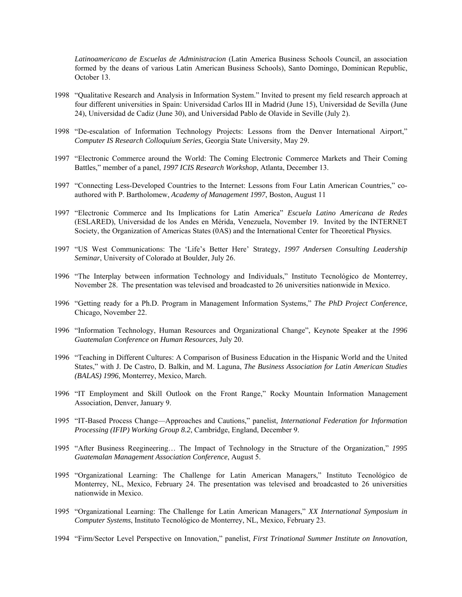*Latinoamericano de Escuelas de Administracion* (Latin America Business Schools Council, an association formed by the deans of various Latin American Business Schools), Santo Domingo, Dominican Republic, October 13.

- 1998 "Qualitative Research and Analysis in Information System." Invited to present my field research approach at four different universities in Spain: Universidad Carlos III in Madrid (June 15), Universidad de Sevilla (June 24), Universidad de Cadiz (June 30), and Universidad Pablo de Olavide in Seville (July 2).
- 1998 "De-escalation of Information Technology Projects: Lessons from the Denver International Airport," *Computer IS Research Colloquium Series*, Georgia State University, May 29.
- 1997 "Electronic Commerce around the World: The Coming Electronic Commerce Markets and Their Coming Battles," member of a panel, *1997 ICIS Research Workshop*, Atlanta, December 13.
- 1997 "Connecting Less-Developed Countries to the Internet: Lessons from Four Latin American Countries," coauthored with P. Bartholomew, *Academy of Management 1997*, Boston, August 11
- 1997 "Electronic Commerce and Its Implications for Latin America" *Escuela Latino Americana de Redes* (ESLARED), Universidad de los Andes en Mérida, Venezuela, November 19. Invited by the INTERNET Society, the Organization of Americas States (0AS) and the International Center for Theoretical Physics.
- 1997 "US West Communications: The 'Life's Better Here' Strategy, *1997 Andersen Consulting Leadership Seminar*, University of Colorado at Boulder, July 26.
- 1996 "The Interplay between information Technology and Individuals," Instituto Tecnológico de Monterrey, November 28. The presentation was televised and broadcasted to 26 universities nationwide in Mexico.
- 1996 "Getting ready for a Ph.D. Program in Management Information Systems," *The PhD Project Conference*, Chicago, November 22.
- 1996 "Information Technology, Human Resources and Organizational Change", Keynote Speaker at the *1996 Guatemalan Conference on Human Resources*, July 20.
- 1996 "Teaching in Different Cultures: A Comparison of Business Education in the Hispanic World and the United States," with J. De Castro, D. Balkin, and M. Laguna, *The Business Association for Latin American Studies (BALAS) 1996*, Monterrey, Mexico, March.
- 1996 "IT Employment and Skill Outlook on the Front Range," Rocky Mountain Information Management Association, Denver, January 9.
- 1995 "IT-Based Process Change—Approaches and Cautions," panelist*, International Federation for Information Processing (IFIP) Working Group 8.2*, Cambridge, England, December 9.
- 1995 "After Business Reegineering… The Impact of Technology in the Structure of the Organization," *1995 Guatemalan Management Association Conference*, August 5.
- 1995 "Organizational Learning: The Challenge for Latin American Managers," Instituto Tecnológico de Monterrey, NL, Mexico, February 24. The presentation was televised and broadcasted to 26 universities nationwide in Mexico.
- 1995 "Organizational Learning: The Challenge for Latin American Managers," *XX International Symposium in Computer Systems*, Instituto Tecnológico de Monterrey, NL, Mexico, February 23.
- 1994 "Firm/Sector Level Perspective on Innovation," panelist, *First Trinational Summer Institute on Innovation,*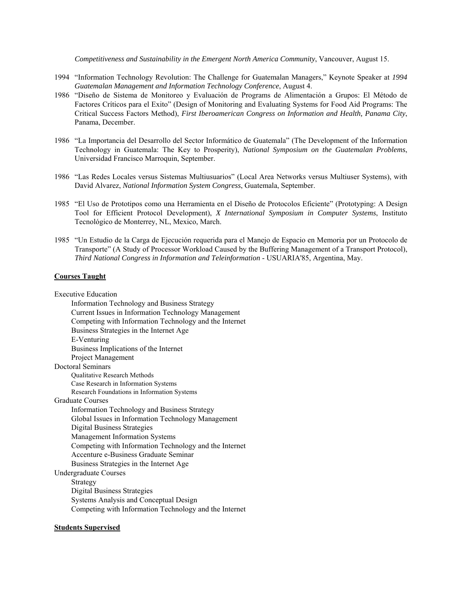*Competitiveness and Sustainability in the Emergent North America Community*, Vancouver, August 15.

- 1994 "Information Technology Revolution: The Challenge for Guatemalan Managers," Keynote Speaker at *1994 Guatemalan Management and Information Technology Conference*, August 4.
- 1986 "Diseño de Sistema de Monitoreo y Evaluación de Programs de Alimentación a Grupos: El Método de Factores Críticos para el Exito" (Design of Monitoring and Evaluating Systems for Food Aid Programs: The Critical Success Factors Method), *First Iberoamerican Congress on Information and Health, Panama City*, Panama, December.
- 1986 "La Importancia del Desarrollo del Sector Informático de Guatemala" (The Development of the Information Technology in Guatemala: The Key to Prosperity), *National Symposium on the Guatemalan Problems*, Universidad Francisco Marroquin, September.
- 1986 "Las Redes Locales versus Sistemas Multiusuarios" (Local Area Networks versus Multiuser Systems), with David Alvarez, *National Information System Congress*, Guatemala, September.
- 1985 "El Uso de Prototipos como una Herramienta en el Diseño de Protocolos Eficiente" (Prototyping: A Design Tool for Efficient Protocol Development), *X International Symposium in Computer Systems*, Instituto Tecnológico de Monterrey, NL, Mexico, March.
- 1985 "Un Estudio de la Carga de Ejecución requerida para el Manejo de Espacio en Memoria por un Protocolo de Transporte" (A Study of Processor Workload Caused by the Buffering Management of a Transport Protocol), *Third National Congress in Information and Teleinformation* - USUARIA'85, Argentina, May.

#### **Courses Taught**

Executive Education

 Information Technology and Business Strategy Current Issues in Information Technology Management Competing with Information Technology and the Internet Business Strategies in the Internet Age E-Venturing Business Implications of the Internet Project Management Doctoral Seminars Qualitative Research Methods Case Research in Information Systems Research Foundations in Information Systems Graduate Courses Information Technology and Business Strategy Global Issues in Information Technology Management Digital Business Strategies Management Information Systems Competing with Information Technology and the Internet Accenture e-Business Graduate Seminar Business Strategies in the Internet Age Undergraduate Courses Strategy Digital Business Strategies Systems Analysis and Conceptual Design Competing with Information Technology and the Internet

#### **Students Supervised**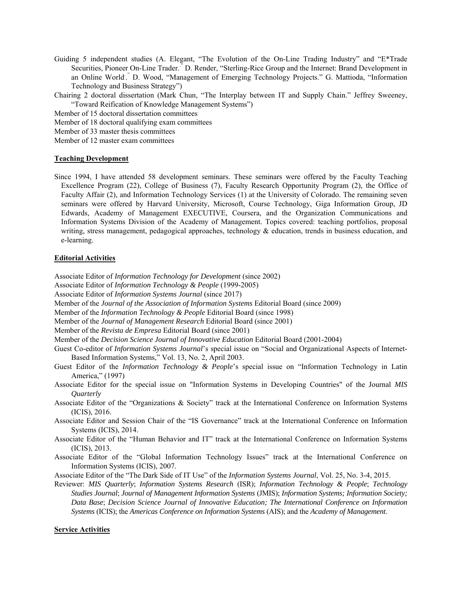- Guiding 5 independent studies (A. Elegant, "The Evolution of the On-Line Trading Industry" and "E\*Trade Securities, Pioneer On-Line Trader.." D. Render, "Sterling-Rice Group and the Internet: Brand Development in an Online World." D. Wood, "Management of Emerging Technology Projects." G. Mattioda, "Information Technology and Business Strategy")
- Chairing 2 doctoral dissertation (Mark Chun, "The Interplay between IT and Supply Chain." Jeffrey Sweeney, "Toward Reification of Knowledge Management Systems")

Member of 15 doctoral dissertation committees

Member of 18 doctoral qualifying exam committees

Member of 33 master thesis committees

Member of 12 master exam committees

#### **Teaching Development**

Since 1994, I have attended 58 development seminars. These seminars were offered by the Faculty Teaching Excellence Program (22), College of Business (7), Faculty Research Opportunity Program (2), the Office of Faculty Affair (2), and Information Technology Services (1) at the University of Colorado. The remaining seven seminars were offered by Harvard University, Microsoft, Course Technology, Giga Information Group, JD Edwards, Academy of Management EXECUTIVE, Coursera, and the Organization Communications and Information Systems Division of the Academy of Management. Topics covered: teaching portfolios, proposal writing, stress management, pedagogical approaches, technology & education, trends in business education, and e-learning.

#### **Editorial Activities**

Associate Editor of *Information Technology for Development* (since 2002)

- Associate Editor of *Information Technology & People* (1999-2005)
- Associate Editor of *Information Systems Journal* (since 2017)
- Member of the *Journal of the Association of Information Systems* Editorial Board (since 2009)
- Member of the *Information Technology & People* Editorial Board (since 1998)
- Member of the *Journal of Management Research* Editorial Board (since 2001)
- Member of the *Revista de Empresa* Editorial Board (since 2001)

Member of the *Decision Science Journal of Innovative Education* Editorial Board (2001-2004)

Guest Co-editor of *Information Systems Journal*'s special issue on "Social and Organizational Aspects of Internet-Based Information Systems," Vol. 13, No. 2, April 2003.

- Guest Editor of the *Information Technology & People*'s special issue on "Information Technology in Latin America," (1997)
- Associate Editor for the special issue on "Information Systems in Developing Countries" of the Journal *MIS Quarterly*
- Associate Editor of the "Organizations & Society" track at the International Conference on Information Systems (ICIS), 2016.
- Associate Editor and Session Chair of the "IS Governance" track at the International Conference on Information Systems (ICIS), 2014.
- Associate Editor of the "Human Behavior and IT" track at the International Conference on Information Systems (ICIS), 2013.
- Associate Editor of the "Global Information Technology Issues" track at the International Conference on Information Systems (ICIS), 2007.

Associate Editor of the "The Dark Side of IT Use" of the *Information Systems Journal*, Vol. 25, No. 3-4, 2015.

Reviewer: *MIS Quarterly*; *Information Systems Research* (ISR); *Information Technology & People*; *Technology Studies Journal*; *Journal of Management Information Systems* (JMIS); *Information Systems; Information Society; Data Base*; *Decision Science Journal of Innovative Education; The International Conference on Information Systems* (ICIS); the *Americas Conference on Information Systems* (AIS); and the *Academy of Management*.

#### **Service Activities**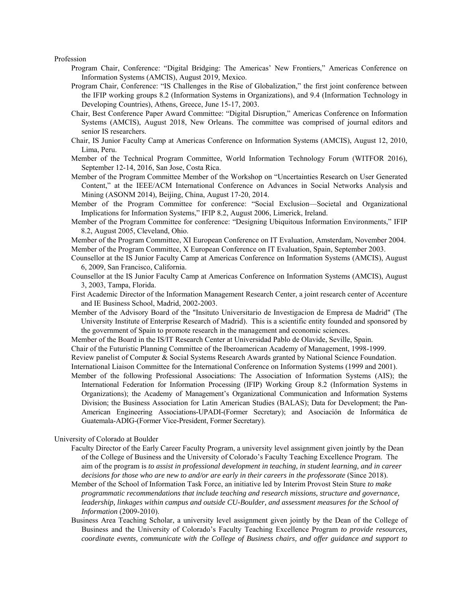Profession

- Program Chair, Conference: "Digital Bridging: The Americas' New Frontiers," Americas Conference on Information Systems (AMCIS), August 2019, Mexico.
- Program Chair, Conference: "IS Challenges in the Rise of Globalization," the first joint conference between the IFIP working groups 8.2 (Information Systems in Organizations), and 9.4 (Information Technology in Developing Countries), Athens, Greece, June 15-17, 2003.
- Chair, Best Conference Paper Award Committee: "Digital Disruption," Americas Conference on Information Systems (AMCIS), August 2018, New Orleans. The committee was comprised of journal editors and senior IS researchers.
- Chair, IS Junior Faculty Camp at Americas Conference on Information Systems (AMCIS), August 12, 2010, Lima, Peru.
- Member of the Technical Program Committee, World Information Technology Forum (WITFOR 2016), September 12-14, 2016, San Jose, Costa Rica.
- Member of the Program Committee Member of the Workshop on "Uncertainties Research on User Generated Content," at the IEEE/ACM International Conference on Advances in Social Networks Analysis and Mining (ASONM 2014), Beijing, China, August 17-20, 2014.
- Member of the Program Committee for conference: "Social Exclusion—Societal and Organizational Implications for Information Systems," IFIP 8.2, August 2006, Limerick, Ireland.
- Member of the Program Committee for conference: "Designing Ubiquitous Information Environments," IFIP 8.2, August 2005, Cleveland, Ohio.
- Member of the Program Committee, XI European Conference on IT Evaluation, Amsterdam, November 2004. Member of the Program Committee, X European Conference on IT Evaluation, Spain, September 2003.
- Counsellor at the IS Junior Faculty Camp at Americas Conference on Information Systems (AMCIS), August 6, 2009, San Francisco, California.
- Counsellor at the IS Junior Faculty Camp at Americas Conference on Information Systems (AMCIS), August 3, 2003, Tampa, Florida.
- First Academic Director of the Information Management Research Center, a joint research center of Accenture and IE Business School, Madrid, 2002-2003.
- Member of the Advisory Board of the "Insituto Universitario de Investigacion de Empresa de Madrid" (The University Institute of Enterprise Research of Madrid). This is a scientific entity founded and sponsored by the government of Spain to promote research in the management and economic sciences.
- Member of the Board in the IS/IT Research Center at Universidad Pablo de Olavide, Seville, Spain.
- Chair of the Futuristic Planning Committee of the Iberoamerican Academy of Management, 1998-1999.
- Review panelist of Computer & Social Systems Research Awards granted by National Science Foundation.

International Liaison Committee for the International Conference on Information Systems (1999 and 2001).

 Member of the following Professional Associations: The Association of Information Systems (AIS); the International Federation for Information Processing (IFIP) Working Group 8.2 (Information Systems in Organizations); the Academy of Management's Organizational Communication and Information Systems Division; the Business Association for Latin American Studies (BALAS); Data for Development; the Pan-American Engineering Associations-UPADI-(Former Secretary); and Asociación de Informática de Guatemala-ADIG-(Former Vice-President, Former Secretary).

#### University of Colorado at Boulder

- Faculty Director of the Early Career Faculty Program, a university level assignment given jointly by the Dean of the College of Business and the University of Colorado's Faculty Teaching Excellence Program. The aim of the program is *to assist in professional development in teaching, in student learning, and in career decisions for those who are new to and/or are early in their careers in the professorate* (Since 2018).
- Member of the School of Information Task Force, an initiative led by Interim Provost Stein Sture *to make programmatic recommendations that include teaching and research missions, structure and governance, leadership, linkages within campus and outside CU-Boulder, and assessment measures for the School of Information* (2009-2010).
- Business Area Teaching Scholar, a university level assignment given jointly by the Dean of the College of Business and the University of Colorado's Faculty Teaching Excellence Program *to provide resources, coordinate events, communicate with the College of Business chairs, and offer guidance and support to*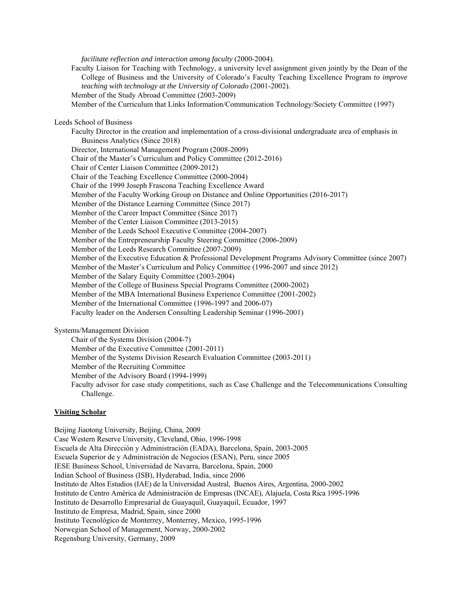*facilitate reflection and interaction among faculty* (2000-2004). Faculty Liaison for Teaching with Technology, a university level assignment given jointly by the Dean of the College of Business and the University of Colorado's Faculty Teaching Excellence Program *to improve teaching with technology at the University of Colorado* (2001-2002). Member of the Study Abroad Committee (2003-2009) Member of the Curriculum that Links Information/Communication Technology/Society Committee (1997) Leeds School of Business Faculty Director in the creation and implementation of a cross-divisional undergraduate area of emphasis in Business Analytics (Since 2018) Director, International Management Program (2008-2009) Chair of the Master's Curriculum and Policy Committee (2012-2016) Chair of Center Liaison Committee (2009-2012) Chair of the Teaching Excellence Committee (2000-2004) Chair of the 1999 Joseph Frascona Teaching Excellence Award Member of the Faculty Working Group on Distance and Online Opportunities (2016-2017) Member of the Distance Learning Committee (Since 2017) Member of the Career Impact Committee (Since 2017) Member of the Center Liaison Committee (2013-2015) Member of the Leeds School Executive Committee (2004-2007) Member of the Entrepreneurship Faculty Steering Committee (2006-2009) Member of the Leeds Research Committee (2007-2009) Member of the Executive Education & Professional Development Programs Advisory Committee (since 2007) Member of the Master's Curriculum and Policy Committee (1996-2007 and since 2012) Member of the Salary Equity Committee (2003-2004) Member of the College of Business Special Programs Committee (2000-2002) Member of the MBA International Business Experience Committee (2001-2002) Member of the International Committee (1996-1997 and 2006-07) Faculty leader on the Andersen Consulting Leadership Seminar (1996-2001)

Systems/Management Division

Chair of the Systems Division (2004-7)

Member of the Executive Committee (2001-2011)

Member of the Systems Division Research Evaluation Committee (2003-2011)

Member of the Recruiting Committee

Member of the Advisory Board (1994-1999)

 Faculty advisor for case study competitions, such as Case Challenge and the Telecommunications Consulting Challenge.

### **Visiting Scholar**

Beijing Jiaotong University, Beijing, China, 2009 Case Western Reserve University, Cleveland, Ohio, 1996-1998 Escuela de Alta Dirección y Administración (EADA), Barcelona, Spain, 2003-2005 Escuela Superior de y Administración de Negocios (ESAN), Peru, since 2005 IESE Business School, Universidad de Navarra, Barcelona, Spain, 2000 Indian School of Business (ISB), Hyderabad, India, since 2006 Instituto de Altos Estudios (IAE) de la Universidad Austral, Buenos Aires, Argentina, 2000-2002 Instituto de Centro América de Administración de Empresas (INCAE), Alajuela, Costa Rica 1995-1996 Instituto de Desarrollo Empresarial de Guayaquil, Guayaquil, Ecuador, 1997 Instituto de Empresa, Madrid, Spain, since 2000 Instituto Tecnológico de Monterrey, Monterrey, Mexico, 1995-1996 Norwegian School of Management, Norway, 2000-2002 Regensburg University, Germany, 2009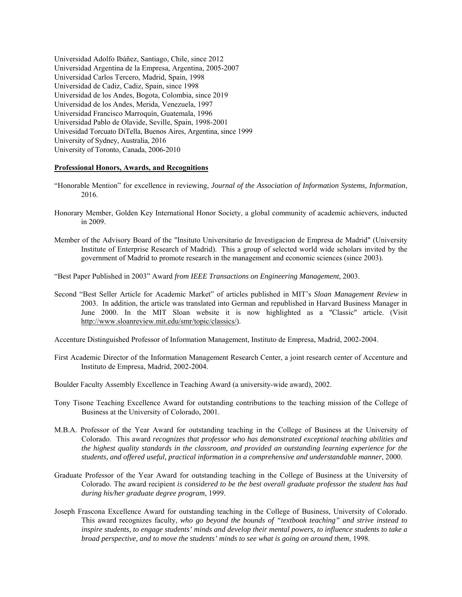Universidad Adolfo Ibáñez, Santiago, Chile, since 2012 Universidad Argentina de la Empresa, Argentina, 2005-2007 Universidad Carlos Tercero, Madrid, Spain, 1998 Universidad de Cadiz, Cadiz, Spain, since 1998 Universidad de los Andes, Bogota, Colombia, since 2019 Universidad de los Andes, Merida, Venezuela, 1997 Universidad Francisco Marroquín, Guatemala, 1996 Universidad Pablo de Olavide, Seville, Spain, 1998-2001 Univesidad Torcuato DiTella, Buenos Aires, Argentina, since 1999 University of Sydney, Australia, 2016 University of Toronto, Canada, 2006-2010

#### **Professional Honors, Awards, and Recognitions**

- "Honorable Mention" for excellence in reviewing, *Journal of the Association of Information Systems, Information*, 2016.
- Honorary Member, Golden Key International Honor Society, a global community of academic achievers, inducted in 2009.
- Member of the Advisory Board of the "Insituto Universitario de Investigacion de Empresa de Madrid" (University Institute of Enterprise Research of Madrid). This a group of selected world wide scholars invited by the government of Madrid to promote research in the management and economic sciences (since 2003).
- "Best Paper Published in 2003" Award *from IEEE Transactions on Engineering Management*, 2003.
- Second "Best Seller Article for Academic Market" of articles published in MIT's *Sloan Management Review* in 2003. In addition, the article was translated into German and republished in Harvard Business Manager in June 2000. In the MIT Sloan website it is now highlighted as a "Classic" article. (Visit http://www.sloanreview.mit.edu/smr/topic/classics/).

Accenture Distinguished Professor of Information Management, Instituto de Empresa, Madrid, 2002-2004.

- First Academic Director of the Information Management Research Center, a joint research center of Accenture and Instituto de Empresa, Madrid, 2002-2004.
- Boulder Faculty Assembly Excellence in Teaching Award (a university-wide award), 2002.
- Tony Tisone Teaching Excellence Award for outstanding contributions to the teaching mission of the College of Business at the University of Colorado, 2001.
- M.B.A. Professor of the Year Award for outstanding teaching in the College of Business at the University of Colorado. This award *recognizes that professor who has demonstrated exceptional teaching abilities and the highest quality standards in the classroom, and provided an outstanding learning experience for the students, and offered useful, practical information in a comprehensive and understandable manner*, 2000.
- Graduate Professor of the Year Award for outstanding teaching in the College of Business at the University of Colorado. The award recipient *is considered to be the best overall graduate professor the student has had during his/her graduate degree program*, 1999.
- Joseph Frascona Excellence Award for outstanding teaching in the College of Business, University of Colorado. This award recognizes faculty, *who go beyond the bounds of "textbook teaching" and strive instead to inspire students, to engage students' minds and develop their mental powers, to influence students to take a broad perspective, and to move the students' minds to see what is going on around them*, 1998.